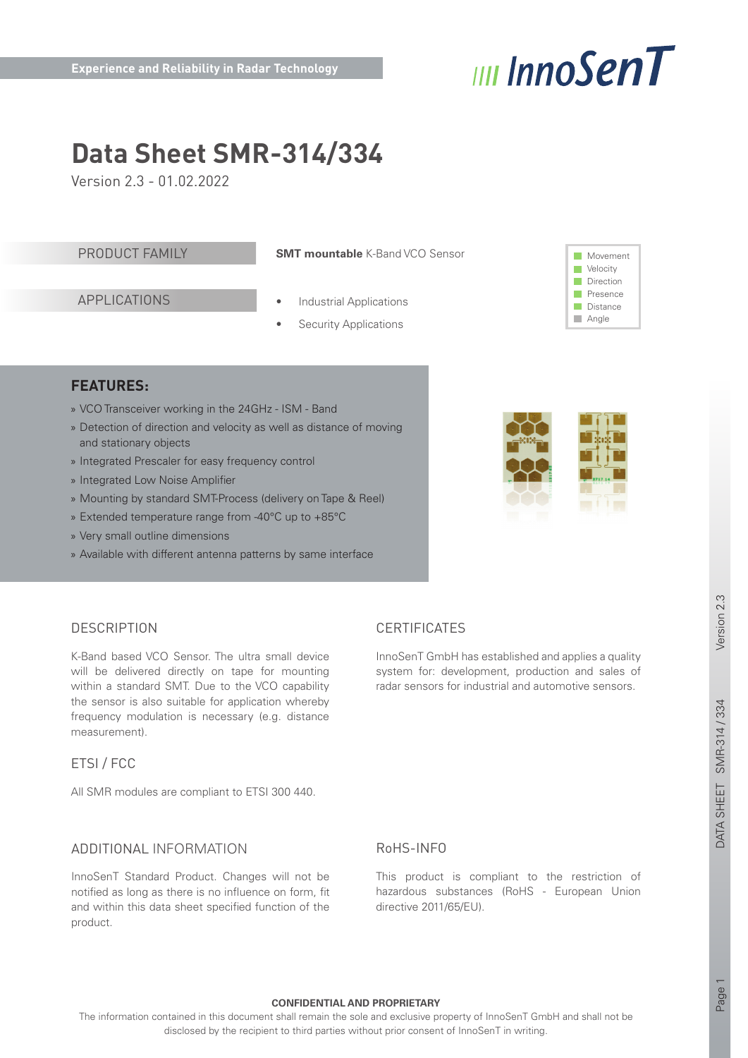

# **Data Sheet SMR-314/334**

Version 2.3 - 01.02.2022

#### PRODUCT FAMILY

**SMT mountable** K-Band VCO Sensor

# APPLICATIONS

#### **Industrial Applications**

**Security Applications** 



# **FEATURES:**

- » VCO Transceiver working in the 24GHz ISM Band
- » Detection of direction and velocity as well as distance of moving and stationary objects
- » Integrated Prescaler for easy frequency control
- » Integrated Low Noise Amplifier
- » Mounting by standard SMT-Process (delivery on Tape & Reel)
- » Extended temperature range from -40°C up to +85°C
- » Very small outline dimensions
- » Available with different antenna patterns by same interface



# **DESCRIPTION**

K-Band based VCO Sensor. The ultra small device will be delivered directly on tape for mounting within a standard SMT. Due to the VCO capability the sensor is also suitable for application whereby frequency modulation is necessary (e.g. distance measurement).

# ETSI / FCC

All SMR modules are compliant to ETSI 300 440.

# ADDITIONAL INFORMATION

InnoSenT Standard Product. Changes will not be notified as long as there is no influence on form, fit and within this data sheet specified function of the product.

# **CERTIFICATES**

InnoSenT GmbH has established and applies a quality system for: development, production and sales of radar sensors for industrial and automotive sensors.

# Version 2.3

# RoHS-INFO

This product is compliant to the restriction of hazardous substances (RoHS - European Union directive 2011/65/EU).

Page 1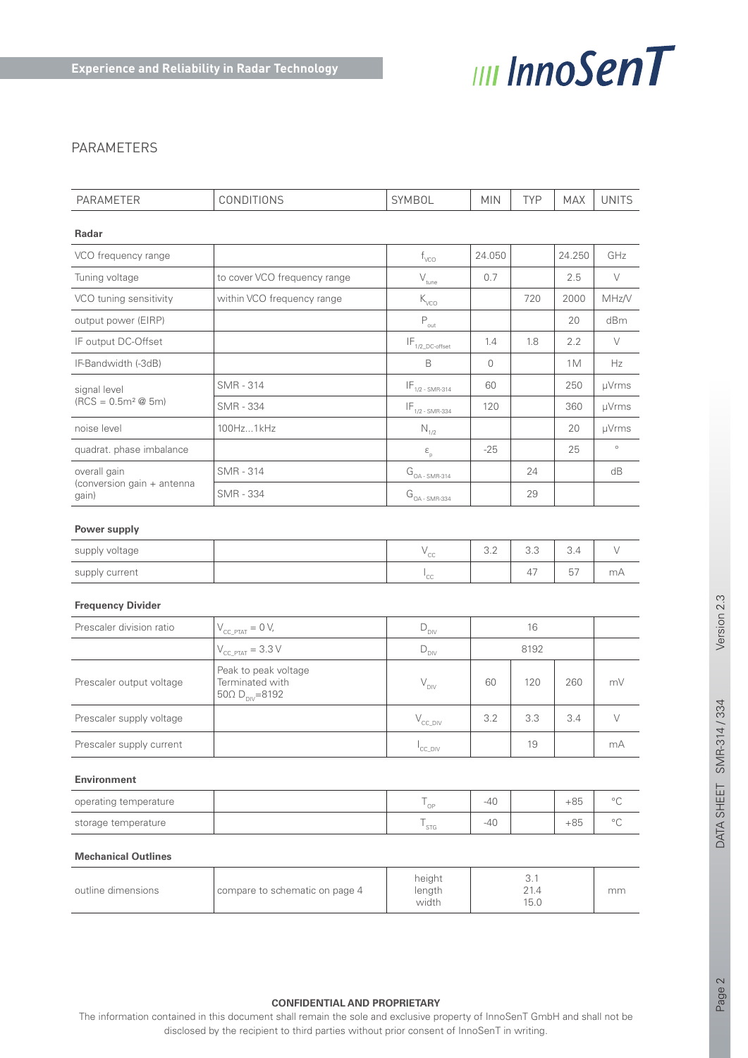

# PARAMETERS

| PARAMETER                           | <b>CONDITIONS</b>                                                           | SYMBOL                                         | <b>MIN</b> | <b>TYP</b> | <b>MAX</b> | <b>UNITS</b> |
|-------------------------------------|-----------------------------------------------------------------------------|------------------------------------------------|------------|------------|------------|--------------|
|                                     |                                                                             |                                                |            |            |            |              |
| Radar                               |                                                                             |                                                |            |            |            |              |
| VCO frequency range                 |                                                                             | $f_{\text{VCO}}$                               | 24.050     |            | 24.250     | GHz          |
| Tuning voltage                      | to cover VCO frequency range                                                | $\rm V_{\rm tune}$                             | 0.7        |            | 2.5        | $\vee$       |
| VCO tuning sensitivity              | within VCO frequency range                                                  | $\rm K_{\rm VCO}$                              |            | 720        | 2000       | MHz/V        |
| output power (EIRP)                 |                                                                             | $\mathsf{P}_{\mathsf{out}}$                    |            |            | 20         | dBm          |
| IF output DC-Offset                 |                                                                             | $\mathsf{IF}_{\mathsf{1/2\_DC}\text{-offset}}$ | 1.4        | 1.8        | 2.2        | V            |
| IF-Bandwidth (-3dB)                 |                                                                             | $\mathsf B$                                    | 0          |            | 1M         | Hz           |
| signal level                        | <b>SMR - 314</b>                                                            | $IF_{1/2-SMR-314}$                             | 60         |            | 250        | µVrms        |
| $(RCS = 0.5m2 \tQ 5m)$              | <b>SMR - 334</b>                                                            | $IF_{1/2-SMR-334}$                             | 120        |            | 360        | µVrms        |
| noise level                         | 100Hz1kHz                                                                   | $\mathsf{N}_{\scriptscriptstyle{1/2}}$         |            |            | 20         | µVrms        |
| quadrat. phase imbalance            |                                                                             | $\boldsymbol{\epsilon}_{_{\rm p}}$             | $-25$      |            | 25         | $\circ$      |
| overall gain                        | <b>SMR - 314</b>                                                            | $G_{_{\textrm{OA - SMR-314}}}$                 |            | 24         |            | dB           |
| (conversion gain + antenna<br>gain) | <b>SMR - 334</b>                                                            | $G_{OA-SMR-334}$                               |            | 29         |            |              |
|                                     |                                                                             |                                                |            |            |            |              |
| Power supply                        |                                                                             |                                                |            |            |            |              |
| supply voltage                      |                                                                             | $\mathsf{V}_{\mathsf{CC}}$                     | 3.2        | 3.3        | 3.4        | V            |
| supply current                      |                                                                             | $I_{\rm CC}$                                   |            | 47         | 57         | mA           |
| <b>Frequency Divider</b>            |                                                                             |                                                |            |            |            |              |
| Prescaler division ratio            | $V_{CC\_PTAT} = 0 V$ ,                                                      | $\mathsf{D}_{\textsf{DIV}}$                    | 16         |            |            |              |
|                                     | $V_{\text{CC\_PTAT}} = 3.3 \text{ V}$                                       | $\mathsf{D}_{\mathsf{DIV}}$                    |            | 8192       |            |              |
| Prescaler output voltage            | Peak to peak voltage<br>Terminated with<br>$50\Omega D_{\text{DIV}} = 8192$ | $V_{\text{DIV}}$                               | 60         | 120        | 260        | mV           |
| Prescaler supply voltage            |                                                                             | $\rm V_{\rm CC\_DIV}$                          | 3.2        | 3.3        | 3.4        | $\vee$       |
| Prescaler supply current            |                                                                             | $I_{\text{CC\_DIV}}$                           |            | $19$       |            | $mA$         |
| <b>Environment</b>                  |                                                                             |                                                |            |            |            |              |
| operating temperature               |                                                                             | $T_{\rm OP}$                                   | $-40$      |            | $+85$      | $^{\circ}C$  |
| storage temperature                 |                                                                             | ${\mathsf T}_{\text{STG}}$                     | -40        |            | $+85$      | $^{\circ}$ C |
| <b>Mechanical Outlines</b>          |                                                                             |                                                |            |            |            |              |

| outline dimensions | I compare to schematic on page 4 | height<br>length<br>width | 15.0 | mm |
|--------------------|----------------------------------|---------------------------|------|----|
|--------------------|----------------------------------|---------------------------|------|----|

#### **CONFIDENTIAL AND PROPRIETARY**

The information contained in this document shall remain the sole and exclusive property of InnoSenT GmbH and shall not be disclosed by the recipient to third parties without prior consent of InnoSenT in writing.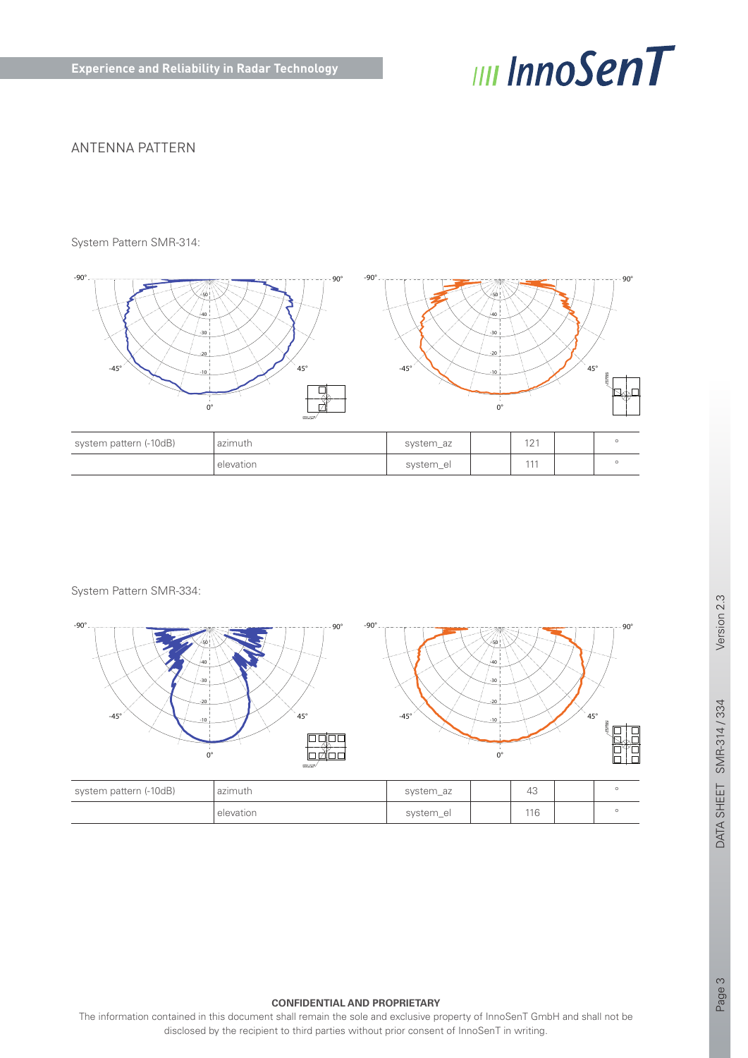

# ANTENNA PATTERN

System Pattern SMR-314:



| system pattern (-10dB) | azimuth   | system_az | 101<br>∠ |  |
|------------------------|-----------|-----------|----------|--|
|                        | elevation | system_el | 111      |  |

System Pattern SMR-334:



#### **CONFIDENTIAL AND PROPRIETARY**

The information contained in this document shall remain the sole and exclusive property of InnoSenT GmbH and shall not be disclosed by the recipient to third parties without prior consent of InnoSenT in writing.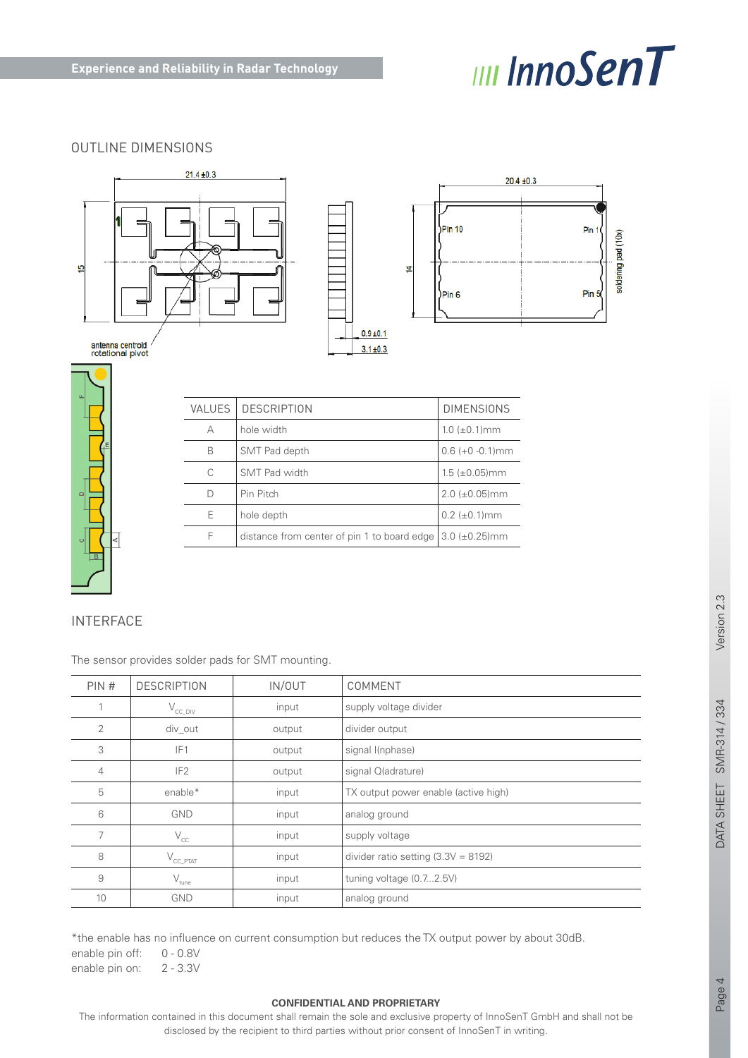

# OUTLINE DIMENSIONS



| u.<br>E |   |
|---------|---|
| $\Box$  |   |
| Ō       | ∢ |

| <b>VALUES</b> | <b>DESCRIPTION</b>                                              | <b>DIMENSIONS</b>     |
|---------------|-----------------------------------------------------------------|-----------------------|
| А             | hole width                                                      | $1.0~(\pm 0.1)$ mm    |
| B             | SMT Pad depth                                                   | $0.6 (+0 - 0.1)$ mm   |
| C             | SMT Pad width                                                   | $1.5~(\pm 0.05)$ mm   |
| D             | Pin Pitch                                                       | $2.0 \ (\pm 0.05)$ mm |
| Е             | hole depth                                                      | $0.2~(\pm 0.1)$ mm    |
| F             | distance from center of pin 1 to board edge $(3.0 \pm 0.25)$ mm |                       |

# INTERFACE

The sensor provides solder pads for SMT mounting.

| PIN# | <b>DESCRIPTION</b>    | IN/OUT | COMMENT                               |
|------|-----------------------|--------|---------------------------------------|
|      | $V_{\text{CC\_DIV}}$  | input  | supply voltage divider                |
| 2    | div out               | output | divider output                        |
| 3    | IF <sub>1</sub>       | output | signal I(nphase)                      |
| 4    | IF <sub>2</sub>       | output | signal Q(adrature)                    |
| 5    | enable*               | input  | TX output power enable (active high)  |
| 6    | <b>GND</b>            | input  | analog ground                         |
| 7    | $\rm V_{\rm CC}$      | input  | supply voltage                        |
| 8    | $V_{\text{CC\_PTAT}}$ | input  | divider ratio setting $(3.3V = 8192)$ |
| 9    | $\rm V_{\rm tune}$    | input  | tuning voltage (0.72.5V)              |
| 10   | <b>GND</b>            | input  | analog ground                         |

\*the enable has no influence on current consumption but reduces the TX output power by about 30dB. enable pin off: 0 - 0.8V enable pin on: 2 - 3.3V

The information contained in this document shall remain the sole and exclusive property of InnoSenT GmbH and shall not be disclosed by the recipient to third parties without prior consent of InnoSenT in writing.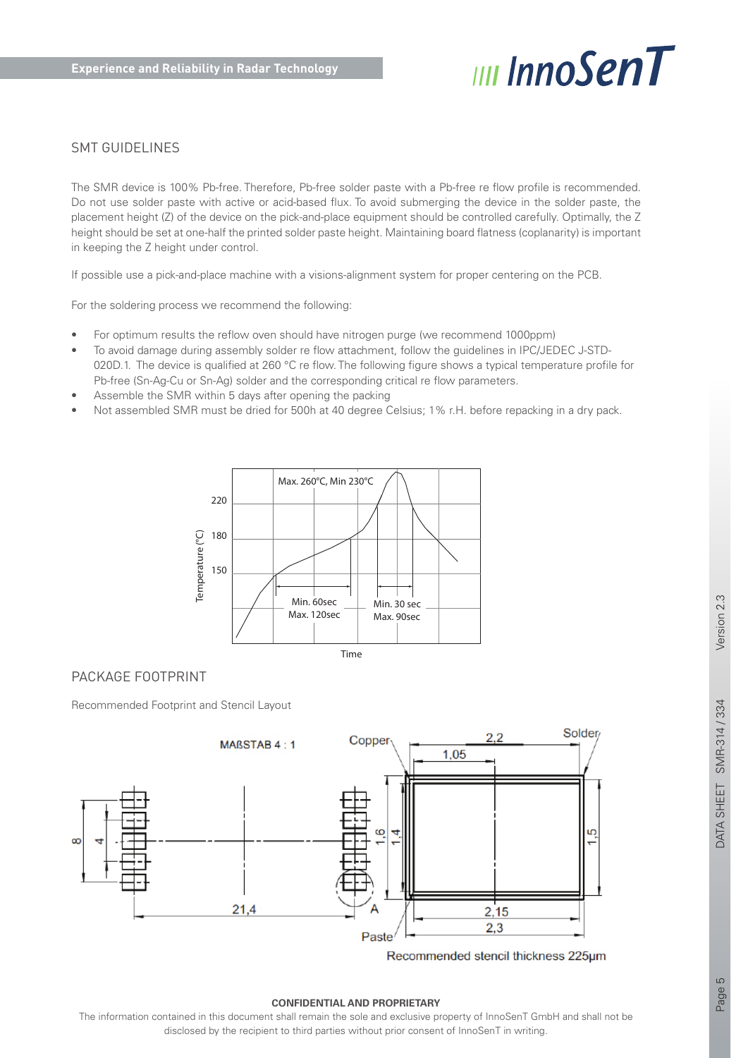

# SMT GUIDELINES

The SMR device is 100% Pb-free. Therefore, Pb-free solder paste with a Pb-free re flow profile is recommended. Do not use solder paste with active or acid-based flux. To avoid submerging the device in the solder paste, the placement height (Z) of the device on the pick-and-place equipment should be controlled carefully. Optimally, the Z height should be set at one-half the printed solder paste height. Maintaining board flatness (coplanarity) is important in keeping the Z height under control.

If possible use a pick-and-place machine with a visions-alignment system for proper centering on the PCB.

For the soldering process we recommend the following:

- For optimum results the reflow oven should have nitrogen purge (we recommend 1000ppm)
- To avoid damage during assembly solder re flow attachment, follow the guidelines in IPC/JEDEC J-STD-020D.1. The device is qualified at 260 °C re flow. The following figure shows a typical temperature profile for Pb-free (Sn-Ag-Cu or Sn-Ag) solder and the corresponding critical re flow parameters.
- Assemble the SMR within 5 days after opening the packing
- Not assembled SMR must be dried for 500h at 40 degree Celsius; 1% r.H. before repacking in a dry pack.



#### PACKAGE FOOTPRINT

Recommended Footprint and Stencil Layout



Recommended stencil thickness 225um

#### **CONFIDENTIAL AND PROPRIETARY**

The information contained in this document shall remain the sole and exclusive property of InnoSenT GmbH and shall not be disclosed by the recipient to third parties without prior consent of InnoSenT in writing.

Page 5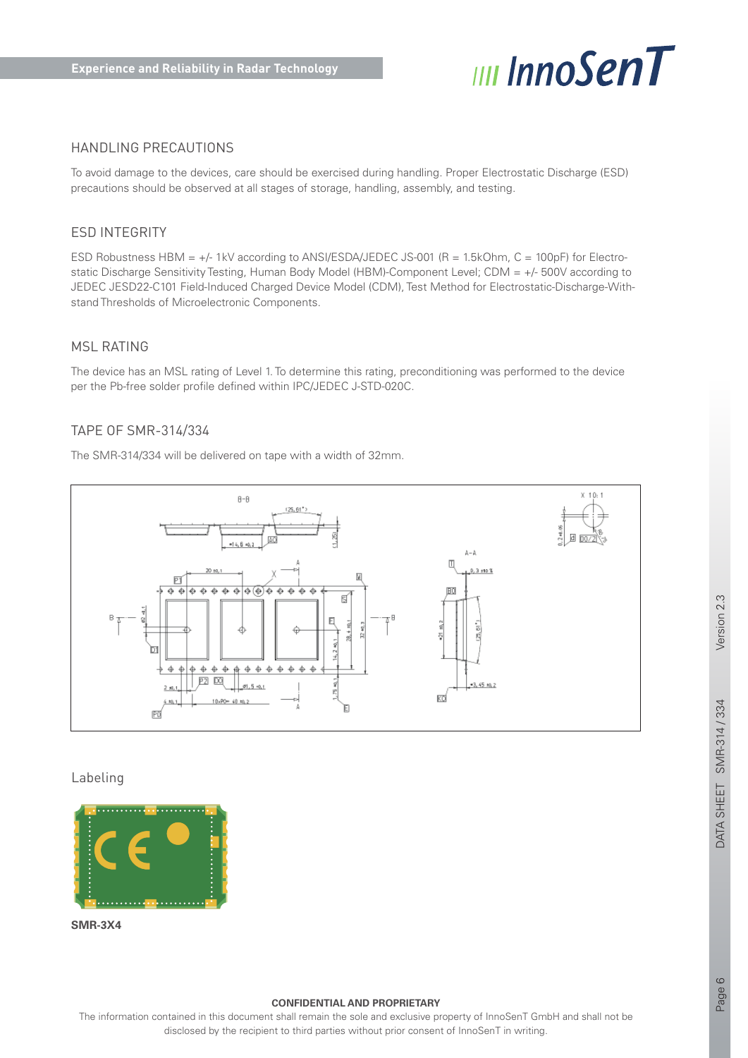

# HANDLING PRECAUTIONS

To avoid damage to the devices, care should be exercised during handling. Proper Electrostatic Discharge (ESD) precautions should be observed at all stages of storage, handling, assembly, and testing.

#### ESD INTEGRITY

ESD Robustness HBM = +/- 1kV according to ANSI/ESDA/JEDEC JS-001 (R = 1.5kOhm, C = 100pF) for Electrostatic Discharge Sensitivity Testing, Human Body Model (HBM)-Component Level; CDM = +/- 500V according to JEDEC JESD22-C101 Field-Induced Charged Device Model (CDM), Test Method for Electrostatic-Discharge-Withstand Thresholds of Microelectronic Components.

#### MSL RATING

The device has an MSL rating of Level 1. To determine this rating, preconditioning was performed to the device per the Pb-free solder profile defined within IPC/JEDEC J-STD-020C.

#### TAPE OF SMR-314/334

The SMR-314/334 will be delivered on tape with a width of 32mm.



Labeling



**SMR-3X4**

#### **CONFIDENTIAL AND PROPRIETARY**

The information contained in this document shall remain the sole and exclusive property of InnoSenT GmbH and shall not be disclosed by the recipient to third parties without prior consent of InnoSenT in writing.

Version 2.3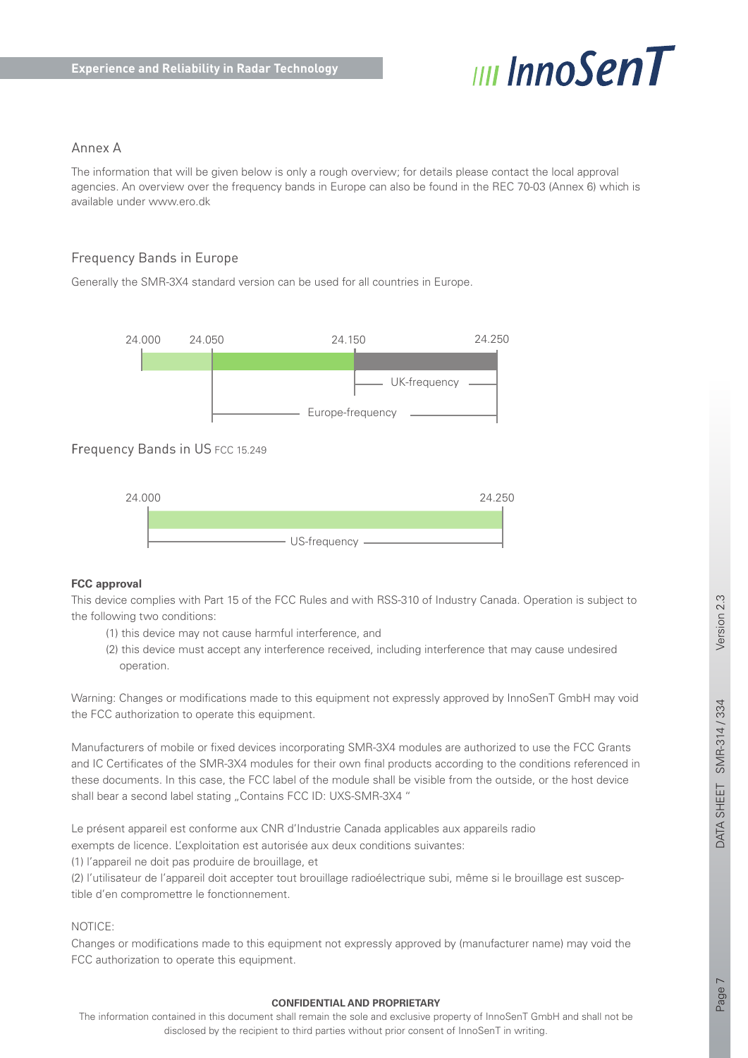

# Annex A

The information that will be given below is only a rough overview; for details please contact the local approval agencies. An overview over the frequency bands in Europe can also be found in the REC 70-03 (Annex 6) which is available under www.ero.dk

# Frequency Bands in Europe

Generally the SMR-3X4 standard version can be used for all countries in Europe.



# Frequency Bands in US FCC 15.249



#### **FCC approval**

This device complies with Part 15 of the FCC Rules and with RSS-310 of Industry Canada. Operation is subject to the following two conditions:

- (1) this device may not cause harmful interference, and
- (2) this device must accept any interference received, including interference that may cause undesired operation.

Warning: Changes or modifications made to this equipment not expressly approved by InnoSenT GmbH may void the FCC authorization to operate this equipment.

Manufacturers of mobile or fixed devices incorporating SMR-3X4 modules are authorized to use the FCC Grants and IC Certificates of the SMR-3X4 modules for their own final products according to the conditions referenced in these documents. In this case, the FCC label of the module shall be visible from the outside, or the host device shall bear a second label stating "Contains FCC ID: UXS-SMR-3X4"

Le présent appareil est conforme aux CNR d'Industrie Canada applicables aux appareils radio exempts de licence. L'exploitation est autorisée aux deux conditions suivantes:

(1) l'appareil ne doit pas produire de brouillage, et

(2) l'utilisateur de l'appareil doit accepter tout brouillage radioélectrique subi, même si le brouillage est susceptible d'en compromettre le fonctionnement.

#### NOTICE:

Changes or modifications made to this equipment not expressly approved by (manufacturer name) may void the FCC authorization to operate this equipment.

#### **CONFIDENTIAL AND PROPRIETARY**

The information contained in this document shall remain the sole and exclusive property of InnoSenT GmbH and shall not be disclosed by the recipient to third parties without prior consent of InnoSenT in writing.

Page 7